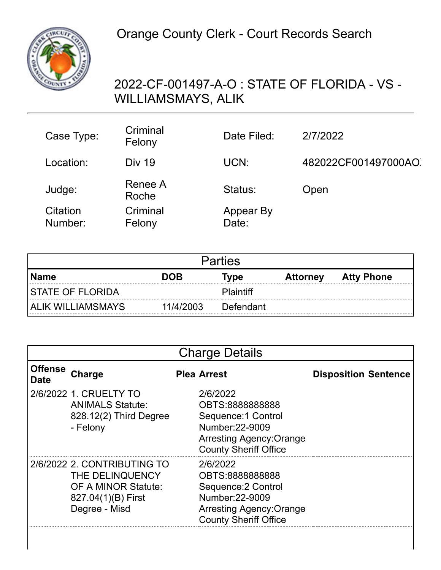

## 2022-CF-001497-A-O : STATE OF FLORIDA - VS - WILLIAMSMAYS, ALIK

| Case Type:          | Criminal<br>Felony | Date Filed:        | 2/7/2022            |
|---------------------|--------------------|--------------------|---------------------|
| Location:           | <b>Div 19</b>      | UCN:               | 482022CF001497000AO |
| Judge:              | Renee A<br>Roche   | Status:            | Open                |
| Citation<br>Number: | Criminal<br>Felony | Appear By<br>Date: |                     |

| <b>Parties</b>      |            |                  |                 |                   |  |
|---------------------|------------|------------------|-----------------|-------------------|--|
| Name                | <b>DOB</b> | Type             | <b>Attorney</b> | <b>Atty Phone</b> |  |
| ISTATE OF FLORIDA   |            | <b>Plaintiff</b> |                 |                   |  |
| I ALIK WILLIAMSMAYS | 11/4/2003  | Defendant        |                 |                   |  |

|                               | <b>Charge Details</b>                                                                                        |  |                                                                                                                                          |                             |  |  |
|-------------------------------|--------------------------------------------------------------------------------------------------------------|--|------------------------------------------------------------------------------------------------------------------------------------------|-----------------------------|--|--|
| <b>Offense</b><br><b>Date</b> | Charge                                                                                                       |  | <b>Plea Arrest</b>                                                                                                                       | <b>Disposition Sentence</b> |  |  |
|                               | 2/6/2022 1. CRUELTY TO<br><b>ANIMALS Statute:</b><br>828.12(2) Third Degree<br>- Felony                      |  | 2/6/2022<br>OBTS:8888888888<br>Sequence: 1 Control<br>Number: 22-9009<br><b>Arresting Agency: Orange</b><br><b>County Sheriff Office</b> |                             |  |  |
|                               | 2/6/2022 2. CONTRIBUTING TO<br>THE DELINQUENCY<br>OF A MINOR Statute:<br>827.04(1)(B) First<br>Degree - Misd |  | 2/6/2022<br>OBTS:8888888888<br>Sequence: 2 Control<br>Number: 22-9009<br><b>Arresting Agency: Orange</b><br><b>County Sheriff Office</b> |                             |  |  |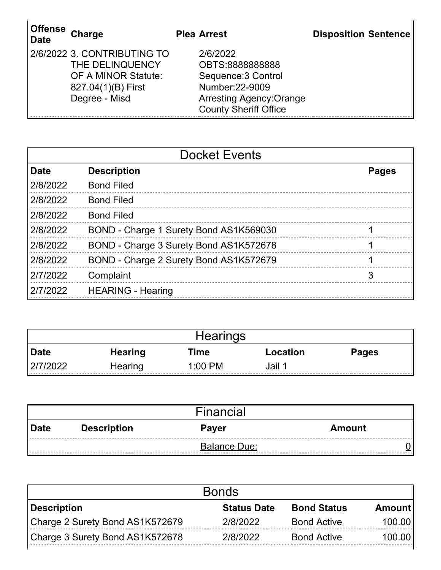| <b>∣Offense</b><br>Charge<br><b>Date</b> |                                                                                                                     | <b>Plea Arrest</b>                                                                                                                       | <b>Disposition Sentence</b> |
|------------------------------------------|---------------------------------------------------------------------------------------------------------------------|------------------------------------------------------------------------------------------------------------------------------------------|-----------------------------|
|                                          | 2/6/2022 3. CONTRIBUTING TO<br>THE DELINQUENCY<br><b>OF A MINOR Statute:</b><br>827.04(1)(B) First<br>Degree - Misd | 2/6/2022<br>OBTS:8888888888<br>Sequence: 3 Control<br>Number: 22-9009<br><b>Arresting Agency: Orange</b><br><b>County Sheriff Office</b> |                             |

| <b>Docket Events</b> |                                        |              |  |
|----------------------|----------------------------------------|--------------|--|
| <b>Date</b>          | <b>Description</b>                     | <b>Pages</b> |  |
| 2/8/2022             | <b>Bond Filed</b>                      |              |  |
| 2/8/2022             | <b>Bond Filed</b>                      |              |  |
| 2/8/2022             | <b>Bond Filed</b>                      |              |  |
| 2/8/2022             | BOND - Charge 1 Surety Bond AS1K569030 |              |  |
| 2/8/2022             | BOND - Charge 3 Surety Bond AS1K572678 |              |  |
| 2/8/2022             | BOND - Charge 2 Surety Bond AS1K572679 |              |  |
| 2/7/2022             | Complaint                              |              |  |
| 217/2022             | <b>HEARING - Hearing</b>               |              |  |

|          |                | <b>Hearings</b> |          |              |
|----------|----------------|-----------------|----------|--------------|
| Date     | <b>Hearing</b> | Time            | Location | <b>Pages</b> |
| 2/7/2022 | Hearing        | $1:00$ PM       | Jail 1   |              |

| Financial                                              |                     |  |  |  |  |
|--------------------------------------------------------|---------------------|--|--|--|--|
| <b>Description</b><br>∣ Date<br><b>Payer</b><br>Amount |                     |  |  |  |  |
|                                                        | <b>Balance Due:</b> |  |  |  |  |

| <b>Bonds</b>                    |                    |                    |          |  |
|---------------------------------|--------------------|--------------------|----------|--|
| Description                     | <b>Status Date</b> | <b>Bond Status</b> | Amount   |  |
| Charge 2 Surety Bond AS1K572679 | 2/8/2022           | <b>Bond Active</b> | 100.00   |  |
| Charge 3 Surety Bond AS1K572678 | 2/8/2022           | <b>Bond Active</b> | 100.00 l |  |